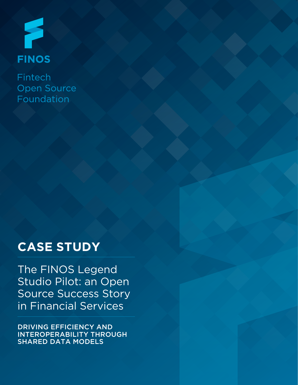

Fintech **Open Source** Foundation

# **CASE STUDY**

The FINOS Legend Studio Pilot: an Open Source Success Story in Financial Services

DRIVING EFFICIENCY AND INTEROPERABILITY THROUGH SHARED DATA MODELS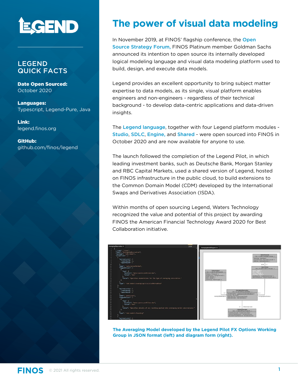

### LEGEND QUICK FACTS

Date Open Sourced: October 2020

Languages: Typescript, Legend-Pure, Java

Link: [legend.finos.org](https://legend.finos.org/)

GitHub: [github.com/finos/legend](https://github.com/finos/
legend)

### **The power of visual data modeling**

In November 2019, at FINOS' flagship conference, the Open [Source Strategy Forum](https://opensourcestrategyforum.org/), FINOS Platinum member Goldman Sachs announced its intention to open source its internally developed logical modeling language and visual data modeling platform used to build, design, and execute data models.

Legend provides an excellent opportunity to bring subject matter expertise to data models, as its single, visual platform enables engineers and non-engineers - regardless of their technical background - to develop data-centric applications and data-driven insights.

The [Legend language](https://github.com/finos/legend-pure), together with four Legend platform modules - [Studio](https://github.com/finos/legend-studio), [SDLC](https://github.com/finos/legend-sdlc), [Engine](https://github.com/finos/legend-engine), and [Shared](https://github.com/finos/legend-shared) - were open sourced into FINOS in October 2020 and are now available for anyone to use.

The launch followed the completion of the Legend Pilot, in which leading investment banks, such as Deutsche Bank, Morgan Stanley and RBC Capital Markets, used a shared version of Legend, hosted on FINOS infrastructure in the public cloud, to build extensions to the Common Domain Model (CDM) developed by the International Swaps and Derivatives Association (ISDA).

Within months of open sourcing Legend, Waters Technology recognized the value and potential of this project by awarding FINOS the American Financial Technology Award 2020 for Best Collaboration initiative.



**The Averaging Model developed by the Legend Pilot FX Options Working Group in JSON format (left) and diagram form (right).**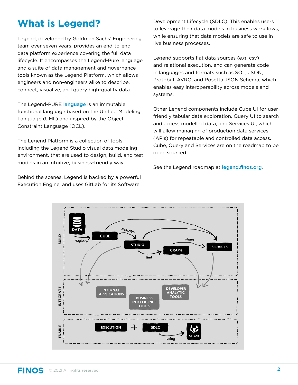## **What is Legend?**

Legend, developed by Goldman Sachs' Engineering team over seven years, provides an end-to-end data platform experience covering the full data lifecycle. It encompasses the Legend-Pure language and a suite of data management and governance tools known as the Legend Platform, which allows engineers and non-engineers alike to describe, connect, visualize, and query high-quality data.

The Legend-PURE [language](https://legend.finos.org/docs/getting-started/legend-language) is an immutable functional language based on the Unified Modeling Language (UML) and inspired by the Object Constraint Language (OCL).

The Legend Platform is a collection of tools, including the Legend Studio visual data modeling environment, that are used to design, build, and test models in an intuitive, business-friendly way.

Behind the scenes, Legend is backed by a powerful Execution Engine, and uses GitLab for its Software

Development Lifecycle (SDLC). This enables users to leverage their data models in business workflows, while ensuring that data models are safe to use in live business processes.

Legend supports flat data sources (e.g. csv) and relational execution, and can generate code in languages and formats such as SQL, JSON, Protobuf, AVRO, and Rosetta JSON Schema, which enables easy interoperability across models and systems.

Other Legend components include Cube UI for userfriendly tabular data exploration, Query UI to search and access modelled data, and Services UI, which will allow managing of production data services (APIs) for repeatable and controlled data access. Cube, Query and Services are on the roadmap to be open sourced.

See the Legend roadmap at [legend.finos.org](https://legend.finos.org/).

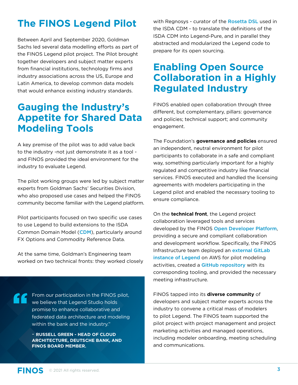## **The FINOS Legend Pilot**

Between April and September 2020, Goldman Sachs led several data modelling efforts as part of the FINOS Legend pilot project. The Pilot brought together developers and subject matter experts from financial institutions, technology firms and industry associations across the US, Europe and Latin America, to develop common data models that would enhance existing industry standards.

### **Gauging the Industry's Appetite for Shared Data Modeling Tools**

A key premise of the pilot was to add value back to the industry -not just demonstrate it as a tool and FINOS provided the ideal environment for the industry to evaluate Legend.

The pilot working groups were led by subject matter experts from Goldman Sachs' Securities Division, who also proposed use cases and helped the FINOS community become familiar with the Legend platform.

Pilot participants focused on two specific use cases to use Legend to build extensions to the ISDA Common Domain Model ([CDM](https://www.isda.org/2018/11/22/isda-cdm-factsheet/)), particularly around FX Options and Commodity Reference Data.

At the same time, Goldman's Engineering team worked on two technical fronts: they worked closely

From our participation in the FINOS pilot, we believe that Legend Studio holds promise to enhance collaborative and federated data architecture and modeling within the bank and the industry."

- **RUSSELL GREEN - HEAD OF CLOUD ARCHITECTURE, DEUTSCHE BANK, AND FINOS BOARD MEMBER.**

with Regnosys - curator of the **[Rosetta DSL](https://github.com/REGnosys/rosetta-dsl)** used in the ISDA CDM - to translate the definitions of the ISDA CDM into Legend-Pure, and in parallel they abstracted and modularized the Legend code to prepare for its open sourcing.

### **Enabling Open Source Collaboration in a Highly Regulated Industry**

FINOS enabled open collaboration through three different, but complementary, pillars: governance and policies; technical support; and community engagement.

The Foundation's **governance and policies** ensured an independent, neutral environment for pilot participants to collaborate in a safe and compliant way, something particularly important for a highly regulated and competitive industry like financial services. FINOS executed and handled the licensing agreements with modelers participating in the Legend pilot and enabled the necessary tooling to ensure compliance.

On the **technical front**, the Legend project collaboration leveraged tools and services developed by the FINOS [Open Developer Platform](https://odp.finos.org/), providing a secure and compliant collaboration and development workflow. Specifically, the FINOS Infrastructure team deployed an [external GitLab](https://gitlab.legend.finos.org/)  [instance of Legend](https://gitlab.legend.finos.org/) on AWS for pilot modeling activities, created a [GitHub repository](https://github.com/finos/legend) with its corresponding tooling, and provided the necessary meeting infrastructure.

FINOS tapped into its **diverse community** of developers and subject matter experts across the industry to convene a critical mass of modelers to pilot Legend. The FINOS team supported the pilot project with project management and project marketing activities and managed operations, including modeler onboarding, meeting scheduling and communications.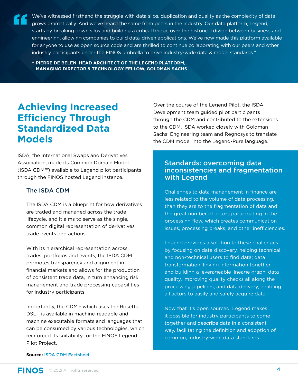We've witnessed firsthand the struggle with data silos, duplication and quality as the complexity of data grows dramatically. And we've heard the same from peers in the industry. Our data platform, Legend, starts by breaking down silos and building a critical bridge over the historical divide between business and engineering, allowing companies to build data-driven applications. We've now made this platform available for anyone to use as open source code and are thrilled to continue collaborating with our peers and other industry participants under the FINOS umbrella to drive industry-wide data & model standards."

- **PIERRE DE BELEN, HEAD ARCHITECT OF THE LEGEND PLATFORM, MANAGING DIRECTOR & TECHNOLOGY FELLOW, GOLDMAN SACHS**

### **Achieving Increased Efficiency Through Standardized Data Models**

ISDA, the International Swaps and Derivatives Association, made its Common Domain Model (ISDA CDM™) available to Legend pilot participants through the FINOS hosted Legend instance.

### The ISDA CDM

The ISDA CDM is a blueprint for how derivatives are traded and managed across the trade lifecycle, and it aims to serve as the single, common digital representation of derivatives trade events and actions.

With its hierarchical representation across trades, portfolios and events, the ISDA CDM promotes transparency and alignment in financial markets and allows for the production of consistent trade data, in turn enhancing risk management and trade processing capabilities for industry participants.

Importantly, the CDM - which uses the Rosetta DSL - is available in machine-readable and machine executable formats and languages that can be consumed by various technologies, which reinforced its suitability for the FINOS Legend Pilot Project.

Over the course of the Legend Pilot, the ISDA Development team guided pilot participants through the CDM and contributed to the extensions to the CDM. ISDA worked closely with Goldman Sachs' Engineering team and Regnosys to translate the CDM model into the Legend-Pure language.

### Standards: overcoming data inconsistencies and fragmentation with Legend

Challenges to data management in finance are less related to the volume of data processing, than they are to the fragmentation of data and the great number of actors participating in the processing flow, which creates communication issues, processing breaks, and other inefficiencies.

Legend provides a solution to these challenges by focusing on data discovery, helping technical and non-technical users to find data; data transformation, linking information together and building a leverageable lineage graph; data quality, improving quality checks all along the processing pipelines; and data delivery, enabling all actors to easily and safely acquire data.

Now that it's open sourced, Legend makes it possible for industry participants to come together and describe data in a consistent way, facilitating the definition and adoption of common, industry-wide data standards.

#### **Source:** [ISDA CDM Factsheet](https://www.isda.org/a/z8AEE/ISDA-CDM-Factsheet.pdf)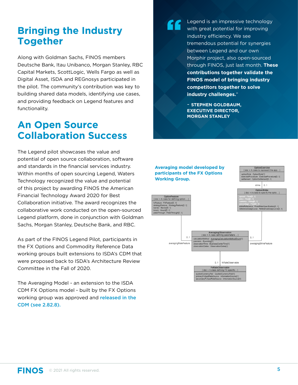### **Bringing the Industry Together**

Along with Goldman Sachs, FINOS members Deutsche Bank, Itau Unibanco, Morgan Stanley, RBC Capital Markets, ScottLogic, Wells Fargo as well as Digital Asset, ISDA and REGnosys participated in the pilot. The community's contribution was key to building shared data models, identifying use cases, and providing feedback on Legend features and functionality.

### **An Open Source Collaboration Success**

The Legend pilot showcases the value and potential of open source collaboration, software and standards in the financial services industry. Within months of open sourcing Legend, Waters Technology recognized the value and potential of this project by awarding FINOS the American Financial Technology Award 2020 for Best Collaboration initiative. The award recognizes the collaborative work conducted on the open-sourced Legend platform, done in conjunction with Goldman Sachs, Morgan Stanley, Deutsche Bank, and RBC.

As part of the FINOS Legend Pilot, participants in the FX Options and Commodity Reference Data working groups built extensions to ISDA's CDM that were proposed back to ISDA's Architecture Review Committee in the Fall of 2020.

The Averaging Model - an extension to the ISDA CDM FX Options model - built by the FX Options working group was approved and [released in the](https://docs.rosetta-technology.io/cdm/releases/all.html)  [CDM \(see 2.82.8\).](https://docs.rosetta-technology.io/cdm/releases/all.html)

Legend is an impressive technology with great potential for improving industry efficiency. We see tremendous potential for synergies between Legend and our own Morphir project, also open-sourced through FINOS, just last month. **These contributions together validate the FINOS model of bringing industry competitors together to solve industry challenges.**"

- **STEPHEN GOLDBAUM, EXECUTIVE DIRECTOR, MORGAN STANLEY**

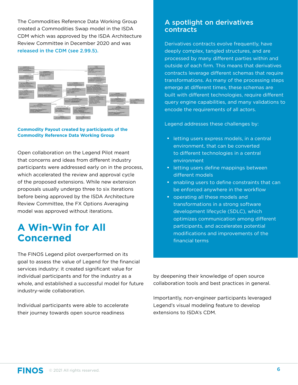The Commodities Reference Data Working Group created a Commodities Swap model in the ISDA CDM which was approved by the ISDA Architecture Review Committee in December 2020 and was [released in the CDM \(see 2.99.5\).](https://docs.rosetta-technology.io/cdm/releases/all.html)



#### **Commodity Payout created by participants of the Commodity Reference Data Working Group**

Open collaboration on the Legend Pilot meant that concerns and ideas from different industry participants were addressed early on in the process, which accelerated the review and approval cycle of the proposed extensions. While new extension proposals usually undergo three to six iterations before being approved by the ISDA Architecture Review Committee, the FX Options Averaging model was approved without iterations.

### **A Win-Win for All Concerned**

The FINOS Legend pilot overperformed on its goal to assess the value of Legend for the financial services industry: it created significant value for individual participants and for the industry as a whole, and established a successful model for future industry-wide collaboration.

Individual participants were able to accelerate their journey towards open source readiness

### A spotlight on derivatives contracts

Derivatives contracts evolve frequently, have deeply complex, tangled structures, and are processed by many different parties within and outside of each firm. This means that derivatives contracts leverage different schemas that require transformations. As many of the processing steps emerge at different times, these schemas are built with different technologies, require different query engine capabilities, and many validations to encode the requirements of all actors.

Legend addresses these challenges by:

- letting users express models, in a central environment, that can be converted to different technologies in a central environment
- letting users define mappings between different models
- enabling users to define constraints that can be enforced anywhere in the workflow
- operating all these models and transformations in a strong software development lifecycle (SDLC), which optimizes communication among different participants, and accelerates potential modifications and improvements of the financial terms

by deepening their knowledge of open source collaboration tools and best practices in general.

Importantly, non-engineer participants leveraged Legend's visual modeling feature to develop extensions to ISDA's CDM.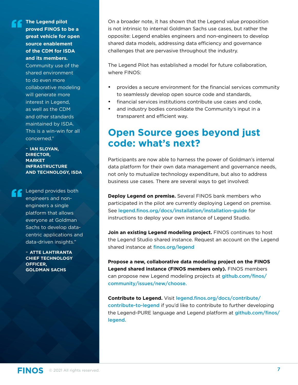**The Legend pilot proved FINOS to be a great vehicle for open source enablement of the CDM for ISDA and its members.**

Community use of the shared environment to do even more collaborative modeling will generate more interest in Legend, as well as the CDM and other standards maintained by ISDA. This is a win-win for all concerned."

- **IAN SLOYAN, DIRECTOR, MARKET INFRASTRUCTURE AND TECHNOLOGY, ISDA**

Legend provides both engineers and nonengineers a single platform that allows everyone at Goldman Sachs to develop datacentric applications and data-driven insights."

- **ATTE LAHTIRANTA CHIEF TECHNOLOGY OFFICER, GOLDMAN SACHS**

On a broader note, it has shown that the Legend value proposition is not intrinsic to internal Goldman Sachs use cases, but rather the opposite: Legend enables engineers and non-engineers to develop shared data models, addressing data efficiency and governance challenges that are pervasive throughout the industry.

The Legend Pilot has established a model for future collaboration, where FINOS:

- provides a secure environment for the financial services community to seamlessly develop open source code and standards,
- financial services institutions contribute use cases and code,
- and industry bodies consolidate the Community's input in a transparent and efficient way.

### **Open Source goes beyond just code: what's next?**

Participants are now able to harness the power of Goldman's internal data platform for their own data management and governance needs, not only to mutualize technology expenditure, but also to address business use cases. There are several ways to get involved:

**Deploy Legend on premise.** Several FINOS bank members who participated in the pilot are currently deploying Legend on premise. See [legend.finos.org/docs/installation/installation-guide](https://legend.finos.org/docs/installation/installation-guide) for instructions to deploy your own instance of Legend Studio.

**Join an existing Legend modeling project.** FINOS continues to host the Legend Studio shared instance. Request an account on the Legend shared instance at [finos.org/legend](https://finos.org/legend)

**Propose a new, collaborative data modeling project on the FINOS Legend shared instance (FINOS members only).** FINOS members can propose new Legend modeling projects at [github.com/finos/](https://github.com/finos/community/issues/new/choose) [community/issues/new/choose.](https://github.com/finos/community/issues/new/choose) 

**Contribute to Legend.** Visit [legend.finos.org/docs/contribute/](https://legend.finos.org/docs/contribute/contribute-to-legend) [contribute-to-legend](https://legend.finos.org/docs/contribute/contribute-to-legend) if you'd like to contribute to further developing the Legend-PURE language and Legend platform at [github.com/finos/](https://github.com/finos/legend) [legend.](https://github.com/finos/legend)